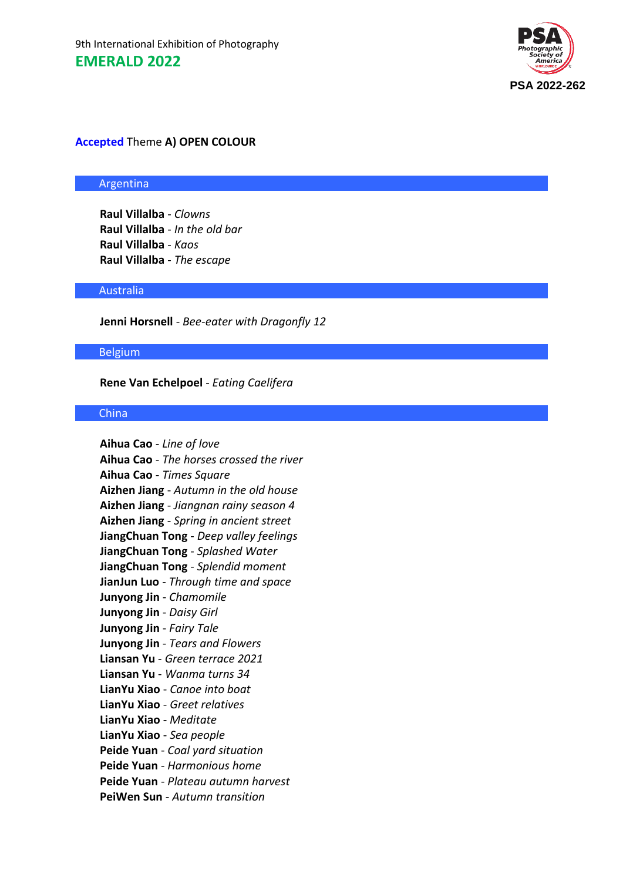

# **Accepted** Theme **A) OPEN COLOUR**

#### Argentina

**Raul Villalba** - *Clowns* **Raul Villalba** - *In the old bar* **Raul Villalba** - *Kaos* **Raul Villalba** - *The escape*

#### Australia

**Jenni Horsnell** - *Bee-eater with Dragonfly 12*

### Belgium

### **Rene Van Echelpoel** - *Eating Caelifera*

# **China**

**Aihua Cao** - *Line of love* **Aihua Cao** - *The horses crossed the river* **Aihua Cao** - *Times Square* **Aizhen Jiang** - *Autumn in the old house* **Aizhen Jiang** - *Jiangnan rainy season 4* **Aizhen Jiang** - *Spring in ancient street* **JiangChuan Tong** - *Deep valley feelings* **JiangChuan Tong** - *Splashed Water* **JiangChuan Tong** - *Splendid moment* **JianJun Luo** - *Through time and space* **Junyong Jin** - *Chamomile* **Junyong Jin** - *Daisy Girl* **Junyong Jin** - *Fairy Tale* **Junyong Jin** - *Tears and Flowers* **Liansan Yu** - *Green terrace 2021* **Liansan Yu** - *Wanma turns 34* **LianYu Xiao** - *Canoe into boat* **LianYu Xiao** - *Greet relatives* **LianYu Xiao** - *Meditate* **LianYu Xiao** - *Sea people* **Peide Yuan** - *Coal yard situation* **Peide Yuan** - *Harmonious home* **Peide Yuan** - *Plateau autumn harvest* **PeiWen Sun** - *Autumn transition*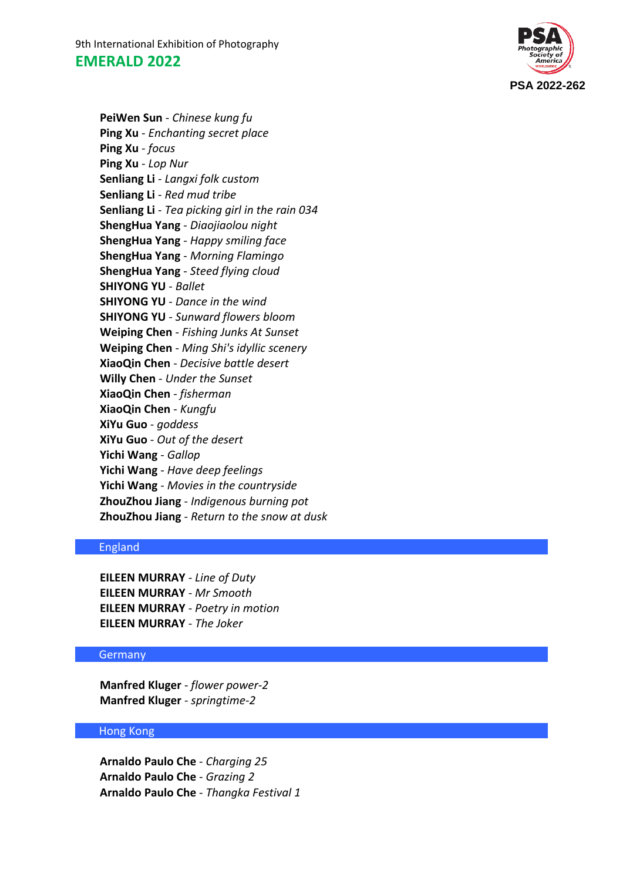9th International Exhibition of Photography **EMERALD 2022**



**PeiWen Sun** - *Chinese kung fu* **Ping Xu** - *Enchanting secret place* **Ping Xu** - *focus* **Ping Xu** - *Lop Nur* **Senliang Li** - *Langxi folk custom* **Senliang Li** - *Red mud tribe* **Senliang Li** - *Tea picking girl in the rain 034* **ShengHua Yang** - *Diaojiaolou night* **ShengHua Yang** - *Happy smiling face* **ShengHua Yang** - *Morning Flamingo* **ShengHua Yang** - *Steed flying cloud* **SHIYONG YU** - *Ballet* **SHIYONG YU** - *Dance in the wind* **SHIYONG YU** - *Sunward flowers bloom* **Weiping Chen** - *Fishing Junks At Sunset* **Weiping Chen** - *Ming Shi's idyllic scenery* **XiaoQin Chen** - *Decisive battle desert* **Willy Chen** - *Under the Sunset* **XiaoQin Chen** - *fisherman* **XiaoQin Chen** - *Kungfu* **XiYu Guo** - *goddess* **XiYu Guo** - *Out of the desert* **Yichi Wang** - *Gallop* **Yichi Wang** - *Have deep feelings* **Yichi Wang** - *Movies in the countryside* **ZhouZhou Jiang** - *Indigenous burning pot* **ZhouZhou Jiang** - *Return to the snow at dusk*

# England

**EILEEN MURRAY** - *Line of Duty* **EILEEN MURRAY** - *Mr Smooth* **EILEEN MURRAY** - *Poetry in motion* **EILEEN MURRAY** - *The Joker*

# Germany

**Manfred Kluger** - *flower power-2* **Manfred Kluger** - *springtime-2*

# Hong Kong

**Arnaldo Paulo Che** - *Charging 25* **Arnaldo Paulo Che** - *Grazing 2* **Arnaldo Paulo Che** - *Thangka Festival 1*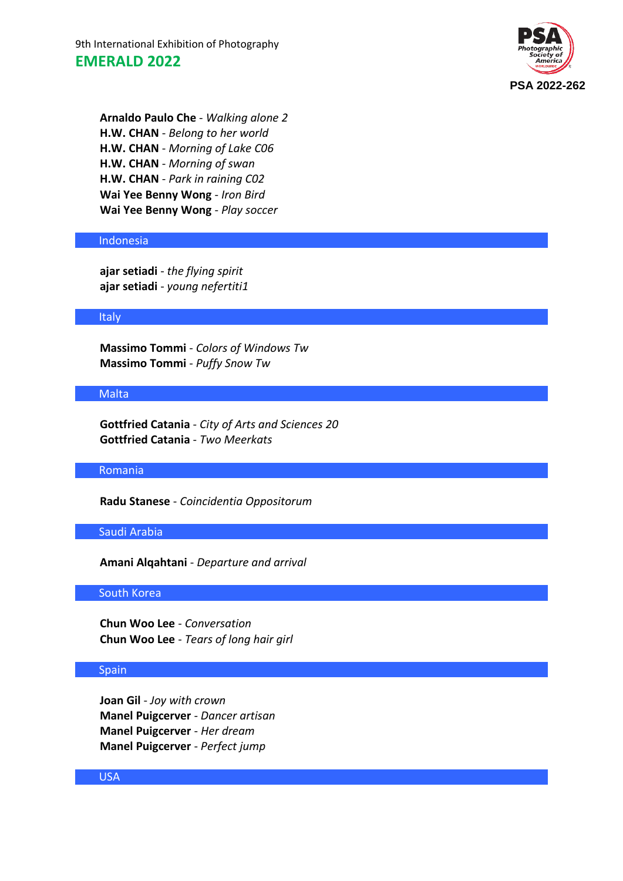9th International Exhibition of Photography **EMERALD 2022**



**Arnaldo Paulo Che** - *Walking alone 2* **H.W. CHAN** - *Belong to her world* **H.W. CHAN** - *Morning of Lake C06* **H.W. CHAN** - *Morning of swan* **H.W. CHAN** - *Park in raining C02* **Wai Yee Benny Wong** - *Iron Bird* **Wai Yee Benny Wong** - *Play soccer*

### Indonesia

**ajar setiadi** - *the flying spirit* **ajar setiadi** - *young nefertiti1*

#### Italy

**Massimo Tommi** - *Colors of Windows Tw* **Massimo Tommi** - *Puffy Snow Tw*

# **Malta**

**Gottfried Catania** - *City of Arts and Sciences 20* **Gottfried Catania** - *Two Meerkats*

### Romania

**Radu Stanese** - *Coincidentia Oppositorum*

#### Saudi Arabia

**Amani Alqahtani** - *Departure and arrival*

#### South Korea

**Chun Woo Lee** - *Conversation* **Chun Woo Lee** - *Tears of long hair girl*

# **Spain**

**Joan Gil** - *Joy with crown* **Manel Puigcerver** - *Dancer artisan* **Manel Puigcerver** - *Her dream* **Manel Puigcerver** - *Perfect jump*

### USA